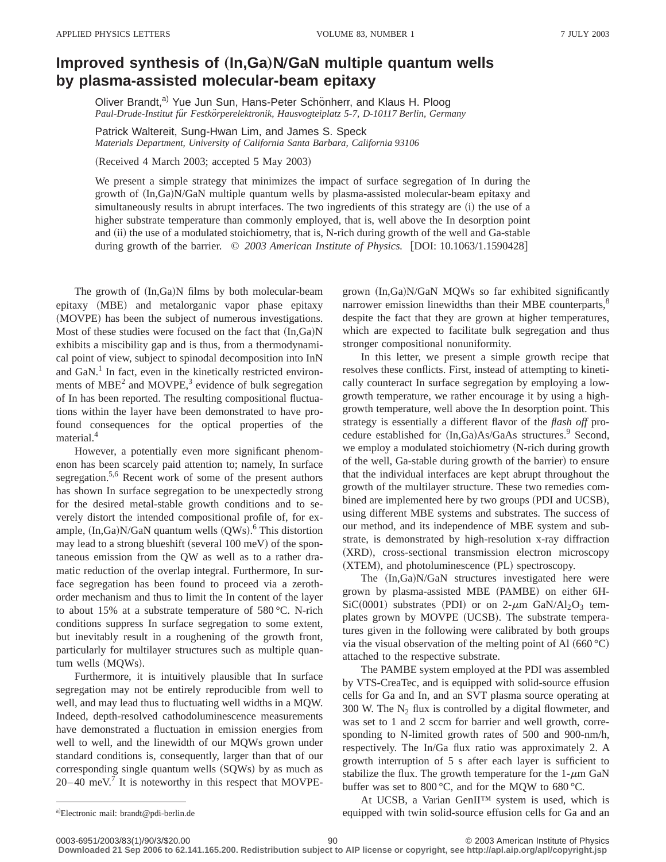## **Improved synthesis of (In,Ga)N/GaN multiple quantum wells by plasma-assisted molecular-beam epitaxy**

Oliver Brandt,<sup>a)</sup> Yue Jun Sun, Hans-Peter Schönherr, and Klaus H. Ploog Paul-Drude-Institut für Festkörperelektronik, Hausvogteiplatz 5-7, D-10117 Berlin, Germany

Patrick Waltereit, Sung-Hwan Lim, and James S. Speck *Materials Department, University of California Santa Barbara, California 93106*

(Received 4 March 2003; accepted 5 May 2003)

We present a simple strategy that minimizes the impact of surface segregation of In during the growth of  $(In,Ga)N/GaN$  multiple quantum wells by plasma-assisted molecular-beam epitaxy and simultaneously results in abrupt interfaces. The two ingredients of this strategy are (i) the use of a higher substrate temperature than commonly employed, that is, well above the In desorption point and (ii) the use of a modulated stoichiometry, that is, N-rich during growth of the well and Ga-stable during growth of the barrier.  $\degree$  2003 American Institute of Physics. [DOI: 10.1063/1.1590428]

The growth of  $(In,Ga)N$  films by both molecular-beam epitaxy (MBE) and metalorganic vapor phase epitaxy (MOVPE) has been the subject of numerous investigations. Most of these studies were focused on the fact that  $(In,Ga)N$ exhibits a miscibility gap and is thus, from a thermodynamical point of view, subject to spinodal decomposition into InN and  $GaN$ .<sup>1</sup> In fact, even in the kinetically restricted environments of  $MBE<sup>2</sup>$  and  $MOVPE<sup>3</sup>$  evidence of bulk segregation of In has been reported. The resulting compositional fluctuations within the layer have been demonstrated to have profound consequences for the optical properties of the material.<sup>4</sup>

However, a potentially even more significant phenomenon has been scarcely paid attention to; namely, In surface segregation.<sup>5,6</sup> Recent work of some of the present authors has shown In surface segregation to be unexpectedly strong for the desired metal-stable growth conditions and to severely distort the intended compositional profile of, for example,  $(In,Ga)N/GaN$  quantum wells  $(QWs)$ .<sup>6</sup> This distortion may lead to a strong blueshift (several  $100$  meV) of the spontaneous emission from the QW as well as to a rather dramatic reduction of the overlap integral. Furthermore, In surface segregation has been found to proceed via a zerothorder mechanism and thus to limit the In content of the layer to about 15% at a substrate temperature of 580 °C. N-rich conditions suppress In surface segregation to some extent, but inevitably result in a roughening of the growth front, particularly for multilayer structures such as multiple quantum wells (MQWs).

Furthermore, it is intuitively plausible that In surface segregation may not be entirely reproducible from well to well, and may lead thus to fluctuating well widths in a MQW. Indeed, depth-resolved cathodoluminescence measurements have demonstrated a fluctuation in emission energies from well to well, and the linewidth of our MQWs grown under standard conditions is, consequently, larger than that of our corresponding single quantum wells  $(SQWs)$  by as much as  $20-40$  meV.<sup>7</sup> It is noteworthy in this respect that MOVPE- grown (In,Ga)N/GaN MQWs so far exhibited significantly narrower emission linewidths than their MBE counterparts,<sup>8</sup> despite the fact that they are grown at higher temperatures, which are expected to facilitate bulk segregation and thus stronger compositional nonuniformity.

In this letter, we present a simple growth recipe that resolves these conflicts. First, instead of attempting to kinetically counteract In surface segregation by employing a lowgrowth temperature, we rather encourage it by using a highgrowth temperature, well above the In desorption point. This strategy is essentially a different flavor of the *flash off* procedure established for  $(In,Ga)As/GaAs$  structures.<sup>9</sup> Second, we employ a modulated stoichiometry (N-rich during growth of the well, Ga-stable during growth of the barrier) to ensure that the individual interfaces are kept abrupt throughout the growth of the multilayer structure. These two remedies combined are implemented here by two groups (PDI and UCSB), using different MBE systems and substrates. The success of our method, and its independence of MBE system and substrate, is demonstrated by high-resolution x-ray diffraction (XRD), cross-sectional transmission electron microscopy  $(XTEM)$ , and photoluminescence  $(PL)$  spectroscopy.

The  $(In,Ga)N/GaN$  structures investigated here were grown by plasma-assisted MBE (PAMBE) on either 6H-SiC(0001) substrates (PDI) or on 2- $\mu$ m GaN/Al<sub>2</sub>O<sub>3</sub> templates grown by MOVPE (UCSB). The substrate temperatures given in the following were calibrated by both groups via the visual observation of the melting point of Al  $(660 °C)$ attached to the respective substrate.

The PAMBE system employed at the PDI was assembled by VTS-CreaTec, and is equipped with solid-source effusion cells for Ga and In, and an SVT plasma source operating at 300 W. The  $N_2$  flux is controlled by a digital flowmeter, and was set to 1 and 2 sccm for barrier and well growth, corresponding to N-limited growth rates of 500 and 900-nm/h, respectively. The In/Ga flux ratio was approximately 2. A growth interruption of 5 s after each layer is sufficient to stabilize the flux. The growth temperature for the  $1-\mu m$  GaN buffer was set to 800 °C, and for the MQW to 680 °C.

At UCSB, a Varian GenII™ system is used, which is equipped with twin solid-source effusion cells for Ga and an

a)Electronic mail: brandt@pdi-berlin.de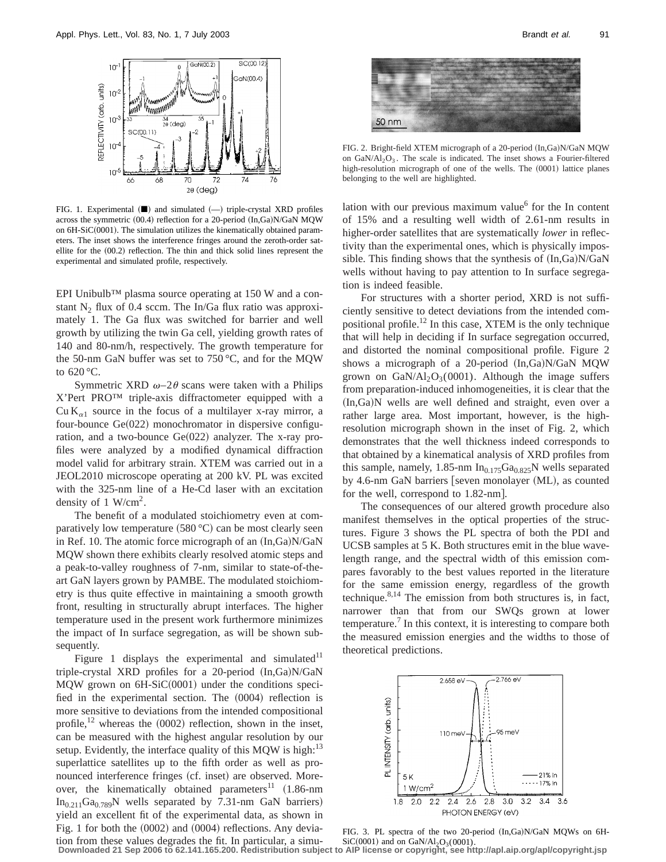

FIG. 1. Experimental  $($   $\blacksquare$  $)$  and simulated  $($   $\lightharpoonup$  triple-crystal XRD profiles across the symmetric  $(00.4)$  reflection for a 20-period  $(In,Ga)N/GaN$  MQW on  $6H-SiC(0001)$ . The simulation utilizes the kinematically obtained parameters. The inset shows the interference fringes around the zeroth-order satellite for the  $(00.2)$  reflection. The thin and thick solid lines represent the experimental and simulated profile, respectively.

EPI Unibulb™ plasma source operating at 150 W and a constant  $N_2$  flux of 0.4 sccm. The In/Ga flux ratio was approximately 1. The Ga flux was switched for barrier and well growth by utilizing the twin Ga cell, yielding growth rates of 140 and 80-nm/h, respectively. The growth temperature for the 50-nm GaN buffer was set to 750 °C, and for the MQW to 620 °C.

Symmetric XRD  $\omega$ -2 $\theta$  scans were taken with a Philips X'Pert PRO™ triple-axis diffractometer equipped with a Cu K<sub> $\alpha$ 1</sub> source in the focus of a multilayer x-ray mirror, a four-bounce  $Ge(022)$  monochromator in dispersive configuration, and a two-bounce  $Ge(022)$  analyzer. The x-ray profiles were analyzed by a modified dynamical diffraction model valid for arbitrary strain. XTEM was carried out in a JEOL2010 microscope operating at 200 kV. PL was excited with the 325-nm line of a He-Cd laser with an excitation density of 1  $W/cm<sup>2</sup>$ .

The benefit of a modulated stoichiometry even at comparatively low temperature  $(580 °C)$  can be most clearly seen in Ref. 10. The atomic force micrograph of an  $(In,Ga)N/GaN$ MQW shown there exhibits clearly resolved atomic steps and a peak-to-valley roughness of 7-nm, similar to state-of-theart GaN layers grown by PAMBE. The modulated stoichiometry is thus quite effective in maintaining a smooth growth front, resulting in structurally abrupt interfaces. The higher temperature used in the present work furthermore minimizes the impact of In surface segregation, as will be shown subsequently.

Figure 1 displays the experimental and simulated $11$ triple-crystal XRD profiles for a 20-period  $(In,Ga)N/GaN$ MQW grown on  $6H-SiC(0001)$  under the conditions specified in the experimental section. The  $(0004)$  reflection is more sensitive to deviations from the intended compositional profile,<sup>12</sup> whereas the  $(0002)$  reflection, shown in the inset, can be measured with the highest angular resolution by our setup. Evidently, the interface quality of this MQW is high: $^{13}$ superlattice satellites up to the fifth order as well as pronounced interference fringes (cf. inset) are observed. Moreover, the kinematically obtained parameters<sup>11</sup>  $(1.86 \text{-} \text{nm})$  $In<sub>0.211</sub>Ga<sub>0.789</sub>N$  wells separated by 7.31-nm GaN barriers) yield an excellent fit of the experimental data, as shown in Fig. 1 for both the  $(0002)$  and  $(0004)$  reflections. Any deviation from these values degrades the fit. In particular, a simu-



FIG. 2. Bright-field XTEM micrograph of a 20-period (In,Ga)N/GaN MQW on  $GaN/Al_2O_3$ . The scale is indicated. The inset shows a Fourier-filtered high-resolution micrograph of one of the wells. The (0001) lattice planes belonging to the well are highlighted.

lation with our previous maximum value $<sup>6</sup>$  for the In content</sup> of 15% and a resulting well width of 2.61-nm results in higher-order satellites that are systematically *lower* in reflectivity than the experimental ones, which is physically impossible. This finding shows that the synthesis of  $(In,Ga)N/GaN$ wells without having to pay attention to In surface segregation is indeed feasible.

For structures with a shorter period, XRD is not sufficiently sensitive to detect deviations from the intended compositional profile.12 In this case, XTEM is the only technique that will help in deciding if In surface segregation occurred, and distorted the nominal compositional profile. Figure 2 shows a micrograph of a 20-period  $(In,Ga)N/GaN$  MQW grown on  $GaN/Al_2O_3(0001)$ . Although the image suffers from preparation-induced inhomogeneities, it is clear that the  $(In,Ga)$ N wells are well defined and straight, even over a rather large area. Most important, however, is the highresolution micrograph shown in the inset of Fig. 2, which demonstrates that the well thickness indeed corresponds to that obtained by a kinematical analysis of XRD profiles from this sample, namely, 1.85-nm  $In_{0.175}Ga_{0.825}N$  wells separated by 4.6-nm GaN barriers [seven monolayer (ML), as counted for the well, correspond to  $1.82$ -nm.

The consequences of our altered growth procedure also manifest themselves in the optical properties of the structures. Figure 3 shows the PL spectra of both the PDI and UCSB samples at 5 K. Both structures emit in the blue wavelength range, and the spectral width of this emission compares favorably to the best values reported in the literature for the same emission energy, regardless of the growth technique. $8,14$  The emission from both structures is, in fact, narrower than that from our SWQs grown at lower temperature.7 In this context, it is interesting to compare both the measured emission energies and the widths to those of theoretical predictions.



FIG. 3. PL spectra of the two 20-period (In,Ga)N/GaN MQWs on 6H- $SiC(0001)$  and on  $GaN/Al_2O_3(0001)$ .

**Downloaded 21 Sep 2006 to 62.141.165.200. Redistribution subject to AIP license or copyright, see http://apl.aip.org/apl/copyright.jsp**